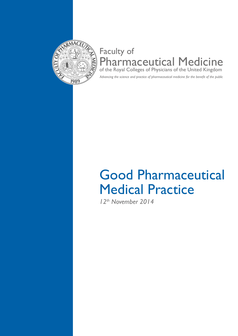

# Faculty of Pharmaceutical Medicine of the Royal Colleges of Physicians of the United Kingdom

*Advancing the science and practice of pharmaceutical medicine for the benefit of the public*

# Good Pharmaceutical Medical Practice

*12th November 2014*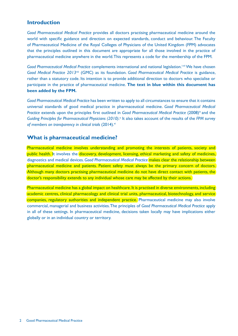## **Introduction**

*Good Pharmaceutical Medical Practice* provides all doctors practising pharmaceutical medicine around the world with specific guidance and direction on expected standards, conduct and behaviour. The Faculty of Pharmaceutical Medicine of the Royal Colleges of Physicians of the United Kingdom (FPM) advocates that the principles outlined in this document are appropriate for all those involved in the practice of pharmaceutical medicine anywhere in the world. This represents a code for the membership of the FPM.

*Good Pharmaceutical Medical Practice* complements international and national legislation.<sup>i-vii</sup> We have chosen *Good Medical Practice 2013*viii (GMC) as its foundation. *Good Pharmaceutical Medical Practice* is guidance, rather than a statutory code. Its intention is to provide additional direction to doctors who specialise or participate in the practice of pharmaceutical medicine. **The text in blue within this document has been added by the FPM.**

*Good Pharmaceutical Medical Practice* has been written to apply to all circumstances to ensure that it contains universal standards of good medical practice in pharmaceutical medicine. *Good Pharmaceutical Medical Practice* extends upon the principles first outlined in *Good Pharmaceutical Medical Practice* (2008)<sup>ix</sup> and the Guiding Principles for Pharmaceutical Physicians (2010).<sup>x</sup> It also takes account of the results of the FPM survey of members on transparency in clinical trials (2014).<sup>xi</sup>

#### **What is pharmaceutical medicine?**

Pharmaceutical medicine involves understanding and promoting the interests of patients, society and public health. It involves the discovery, development, licensing, ethical marketing and safety of medicines, diagnostics and medical devices. *Good Pharmaceutical Medical Practice* makes clear the relationship between pharmaceutical medicine and patients. Patient safety must always be the primary concern of doctors. Although many doctors practising pharmaceutical medicine do not have direct contact with patients, the doctor's responsibility extends to any individual whose care may be affected by their actions.

Pharmaceutical medicine has a global impact on healthcare. It is practised in diverse environments, including academic centres, clinical pharmacology and clinical trial units, pharmaceutical, biotechnology, and service companies, regulatory authorities and independent practice. Pharmaceutical medicine may also involve commercial, managerial and business activities. The principles of *Good Pharmaceutical Medical Practice* apply in all of these settings. In pharmaceutical medicine, decisions taken locally may have implications either globally or in an individual country or territory.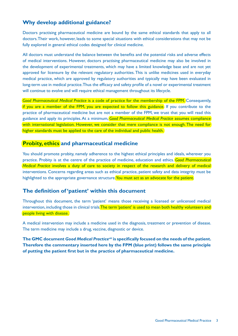# **Why develop additional guidance?**

Doctors practising pharmaceutical medicine are bound by the same ethical standards that apply to all doctors. Their work, however, leads to some special situations with ethical considerations that may not be fully explored in general ethical codes designed for clinical medicine.

All doctors must understand the balance between the benefits and the potential risks and adverse effects of medical interventions. However, doctors practising pharmaceutical medicine may also be involved in the development of experimental treatments, which may have a limited knowledge base and are not yet approved for licensure by the relevant regulatory authorities. This is unlike medicines used in everyday medical practice, which are approved by regulatory authorities and typically may have been evaluated in long-term use in medical practice. Thus the efficacy and safety profile of a novel or experimental treatment will continue to evolve and will require ethical management throughout its lifecycle.

*Good Pharmaceutical Medical Practice* is a code of practice for the membership of the FPM. Consequently, if you are a member of the FPM, you are expected to follow this guidance. If you contribute to the practice of pharmaceutical medicine but are not a member of the FPM, we trust that you will read this guidance and apply its principles. At a minimum, *Good Pharmaceutical Medical Practice* assumes compliance with international legislation. However, we consider that mere compliance is not enough. The need for higher standards must be applied to the care of the individual and public health.

# **Probity, ethics and pharmaceutical medicine**

You should promote probity, namely adherence to the highest ethical principles and ideals, wherever you practice. Probity is at the centre of the practice of medicine, education and ethics. *Good Pharmaceutical Medical Practice* involves a duty of care to society in respect of the research and delivery of medical interventions. Concerns regarding areas such as ethical practice, patient safety and data integrity must be highlighted to the appropriate governance structure. You must act as an advocate for the patient.

# **The definition of 'patient' within this document**

Throughout this document, the term 'patient' means those receiving a licensed or unlicensed medical intervention, including those in clinical trials. The term 'patient' is used to mean both healthy volunteers and people living with disease.

A medical intervention may include a medicine used in the diagnosis, treatment or prevention of disease. The term medicine may include a drug, vaccine, diagnostic or device.

**The GMC document** *Good Medical Practiceviii* **is specifically focused on the needs of the patient. Therefore the commentary inserted here by the FPM (blue print) follows the same principle of putting the patient first but in the practice of pharmaceutical medicine.**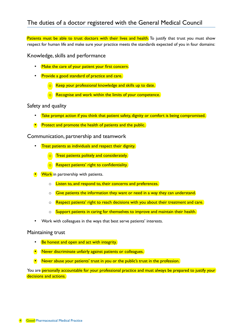Patients must be able to trust doctors with their lives and health. To justify that trust you must show respect for human life and make sure your practice meets the standards expected of you in four domains:

Knowledge, skills and performance

- Make the care of your patient your first concern.
- Provide a good standard of practice and care.
	- $\circ$  Keep your professional knowledge and skills up to date.
	- Recognise and work within the limits of your competence.

#### Safety and quality

- Take prompt action if you think that patient safety, dignity or comfort is being compromised.
- **Protect and promote the health of patients and the public.**

Communication, partnership and teamwork

- Treat patients as individuals and respect their dignity.
	- o Treat patients politely and considerately.
	- **o** Respect patients' right to confidentiality.
- **Work** in partnership with patients.
	- o **Listen to, and respond to, their concerns and preferences.**
	- $\circ$  Give patients the information they want or need in a way they can understand.
	- $\circ$  Respect patients' right to reach decisions with you about their treatment and care.
	- o Support patients in caring for themselves to improve and maintain their health.
- Work with colleagues in the ways that best serve patients' interests.

#### Maintaining trust

- **Be honest and open and act with integrity.**
- Never discriminate unfairly against patients or colleagues.
- Never abuse your patients' trust in you or the public's trust in the profession.

You are personally accountable for your professional practice and must always be prepared to justify your decisions and actions.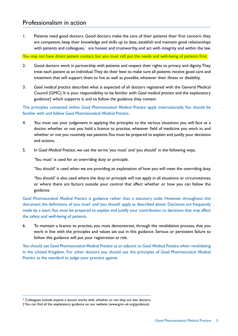1. Patients need good doctors. Good doctors make the care of their patients their first concern: they are competent, keep their knowledge and skills up to date, establish and maintain good relationships with patients and colleagues,\* are honest and trustworthy, and act with integrity and within the law.

You may not have direct patient contact, but you must still put the needs and well-being of patients first.

- 2. Good doctors work in partnership with patients and respect their rights to privacy and dignity. They treat each patient as an individual. They do their best to make sure all patients receive good care and treatment that will support them to live as well as possible, whatever their illness or disability.
- 3. *Good medical practice* describes what is expected of all doctors registered with the General Medical Council (GMC). It is your responsibility to be familiar with *Good medical practice* and the explanatory guidance† which supports it, and to follow the guidance they contain.

The principles contained within *Good Pharmaceutical Medical Practice* apply internationally. You should be familiar with and follow *Good Pharmaceutical Medical Practice*.

- 4. You must use your judgement in applying the principles to the various situations you will face as a doctor, whether or not you hold a licence to practise, whatever field of medicine you work in, and whether or not you routinely see patients. You must be prepared to explain and justify your decisions and actions.
- 5. In *Good Medical Practice*, we use the terms 'you must' and 'you should' in the following ways.

'You must' is used for an overriding duty or principle.

'You should' is used when we are providing an explanation of how you will meet the overriding duty.

'You should' is also used where the duty or principle will not apply in all situations or circumstances, or where there are factors outside your control that affect whether or how you can follow the guidance.

*Good Pharmaceutical Medical Practice* is guidance rather than a statutory code. However, throughout this document the definitions of 'you must' and 'you should' apply as described above. Decisions are frequently made by a team. You must be prepared to explain and justify your contribution to decisions that may affect the safety and well-being of patients.

6. To maintain a licence to practise, you must demonstrate, through the revalidation process, that you work in line with the principles and values set out in this guidance. Serious or persistent failure to follow this guidance will put your registration at risk.

You should use *Good Pharmaceutical Medical Practice* as an adjunct to *Good Medical Practic*e when revalidating in the United Kingdom. For other doctors you should use the principles of *Good Pharmaceutical Medical Practice* as the standard to judge your practice against.

<sup>\*</sup> Colleagues include anyone a doctor works with, whether or not they are also doctors.

<sup>†</sup> You can find all the explanatory guidance on our website (www.gmc-uk.org/guidance).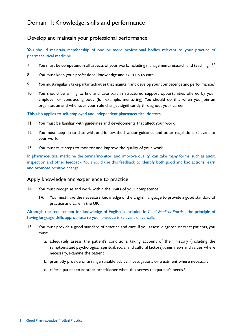# Develop and maintain your professional performance

You should maintain membership of one or more professional bodies relevant to your practice of pharmaceutical medicine.

- 7. You must be competent in all aspects of your work, including management, research and teaching.<sup>1, 2, 3</sup>
- 8. You must keep your professional knowledge and skills up to date.
- 9. You must regularly take part in activities that maintain and develop your competence and performance.<sup>4</sup>
- 10. You should be willing to find and take part in structured support opportunities offered by your employer or contracting body (for example, mentoring). You should do this when you join an organisation and whenever your role changes significantly throughout your career.

This also applies to self-employed and independent pharmaceutical doctors.

- 11. You must be familiar with guidelines and developments that affect your work.
- 12. You must keep up to date with, and follow, the law, our guidance and other regulations relevant to your work.
- 13. You must take steps to monitor and improve the quality of your work.

In pharmaceutical medicine the terms 'monitor' and 'improve quality' can take many forms, such as audit, inspection and other feedback. You should use this feedback to identify both good and bad actions, learn and promote positive change.

#### Apply knowledge and experience to practice

- 14. You must recognise and work within the limits of your competence.
	- 14.1 You must have the necessary knowledge of the English language to provide a good standard of practice and care in the UK

Although the requirement for knowledge of English is included in *Good Medical Practice*, the principle of having language skills appropriate to your practice is relevant universally.

- 15. You must provide a good standard of practice and care. If you assess, diagnose or treat patients, you must:
	- a. adequately assess the patient's conditions, taking account of their history (including the symptoms and psychological, spiritual, social and cultural factors), their views and values; where necessary, examine the patient
	- b. promptly provide or arrange suitable advice, investigations or treatment where necessary
	- c. refer a patient to another practitioner when this serves the patient's needs.<sup>5</sup>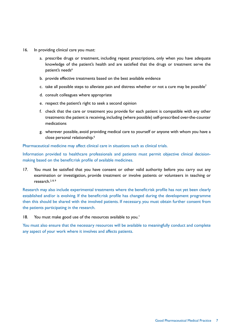- 16. In providing clinical care you must:
	- a. prescribe drugs or treatment, including repeat prescriptions, only when you have adequate knowledge of the patient's health and are satisfied that the drugs or treatment serve the patient's needs<sup>6</sup>
	- b. provide effective treatments based on the best available evidence
	- c. take all possible steps to alleviate pain and distress whether or not a cure may be possible<sup>7</sup>
	- d. consult colleagues where appropriate
	- e. respect the patient's right to seek a second opinion
	- f. check that the care or treatment you provide for each patient is compatible with any other treatments the patient is receiving, including (where possible) self-prescribed over-the-counter medications
	- g. wherever possible, avoid providing medical care to yourself or anyone with whom you have a close personal relationship.<sup>6</sup>

Pharmaceutical medicine may affect clinical care in situations such as clinical trials.

Information provided to healthcare professionals and patients must permit objective clinical decisionmaking based on the benefit:risk profile of available medicines.

17. You must be satisfied that you have consent or other valid authority before you carry out any examination or investigation, provide treatment or involve patients or volunteers in teaching or research.<sup>2, 8, 9</sup>

Research may also include experimental treatments where the benefit:risk profile has not yet been clearly established and/or is evolving. If the benefit:risk profile has changed during the development programme then this should be shared with the involved patients. If necessary, you must obtain further consent from the patients participating in the research.

18. You must make good use of the resources available to you.<sup>1</sup>

You must also ensure that the necessary resources will be available to meaningfully conduct and complete any aspect of your work where it involves and affects patients.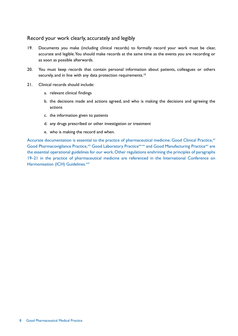#### Record your work clearly, accurately and legibly

- 19. Documents you make (including clinical records) to formally record your work must be clear, accurate and legible. You should make records at the same time as the events you are recording or as soon as possible afterwards.
- 20. You must keep records that contain personal information about patients, colleagues or others securely, and in line with any data protection requirements.<sup>10</sup>
- 21. Clinical records should include:
	- a. relevant clinical findings
	- b. the decisions made and actions agreed, and who is making the decisions and agreeing the actions
	- c. the information given to patients
	- d. any drugs prescribed or other investigation or treatment
	- e. who is making the record and when.

Accurate documentation is essential to the practice of pharmaceutical medicine. Good Clinical Practice, xii Good Pharmacovigilance Practice, xiii Good Laboratory Practice Xiv-Xv and Good Manufacturing Practice Xvi are the essential operational guidelines for our work. Other regulations enshrining the principles of paragraphs 19–21 in the practice of pharmaceutical medicine are referenced in the International Conference on Harmonisation (ICH) Guidelines.<sup>xvii</sup>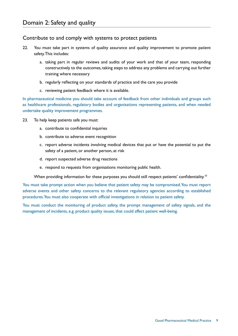#### Contribute to and comply with systems to protect patients

- 22. You must take part in systems of quality assurance and quality improvement to promote patient safety. This includes:
	- a. taking part in regular reviews and audits of your work and that of your team, responding constructively to the outcomes, taking steps to address any problems and carrying out further training where necessary
	- b. regularly reflecting on your standards of practice and the care you provide
	- c. reviewing patient feedback where it is available.

In pharmaceutical medicine you should take account of feedback from other individuals and groups such as healthcare professionals, regulatory bodies and organisations representing patients, and when needed undertake quality improvement programmes.

- 23. To help keep patients safe you must:
	- a. contribute to confidential inquiries
	- b. contribute to adverse event recognition
	- c. report adverse incidents involving medical devices that put or have the potential to put the safety of a patient, or another person, at risk
	- d. report suspected adverse drug reactions
	- e. respond to requests from organisations monitoring public health.

When providing information for these purposes you should still respect patients' confidentiality.<sup>10</sup>

You must take prompt action when you believe that patient safety may be compromised. You must report adverse events and other safety concerns to the relevant regulatory agencies according to established procedures. You must also cooperate with official investigations in relation to patient safety.

You must conduct the monitoring of product safety, the prompt management of safety signals, and the management of incidents, e.g. product quality issues, that could affect patient well-being.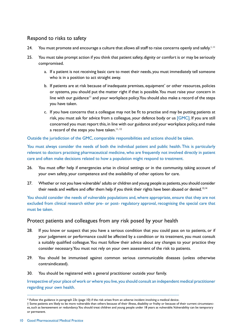# Respond to risks to safety

- 24. You must promote and encourage a culture that allows all staff to raise concerns openly and safely.<sup>1, 11</sup>
- 25. You must take prompt action if you think that patient safety, dignity or comfort is or may be seriously compromised.
	- a. If a patient is not receiving basic care to meet their needs, you must immediately tell someone who is in a position to act straight away.
	- b. If patients are at risk because of inadequate premises, equipment<sup>\*</sup> or other resources, policies or systems, you should put the matter right if that is possible. You must raise your concern in line with our guidance<sup>11</sup> and your workplace policy. You should also make a record of the steps you have taken.
	- c. If you have concerns that a colleague may not be fit to practise and may be putting patients at risk, you must ask for advice from a colleague, your defence body or us [GMC]. If you are still concerned you must report this, in line with our guidance and your workplace policy, and make a record of the steps you have taken.<sup>11, 12</sup>

Outside the jurisdiction of the GMC, comparable responsibilities and actions should be taken.

You must always consider the needs of both the individual patient and public health. This is particularly relevant to doctors practising pharmaceutical medicine, who are frequently not involved directly in patient care and often make decisions related to how a population might respond to treatment.

- 26. You must offer help if emergencies arise in clinical settings or in the community, taking account of your own safety, your competence and the availability of other options for care.
- 27. Whether or not you have vulnerable<sup>†</sup> adults or children and young people as patients, you should consider their needs and welfare and offer them help if you think their rights have been abused or denied.<sup>13,14</sup>

You should consider the needs of vulnerable populations and, where appropriate, ensure that they are not excluded from clinical research either pre- or post- regulatory approval, recognising the special care that must be taken.

#### Protect patients and colleagues from any risk posed by your health

- 28. If you know or suspect that you have a serious condition that you could pass on to patients, or if your judgement or performance could be affected by a condition or its treatment, you must consult a suitably qualified colleague. You must follow their advice about any changes to your practice they consider necessary. You must not rely on your own assessment of the risk to patients.
- 29. You should be immunised against common serious communicable diseases (unless otherwise contraindicated).
- 30. You should be registered with a general practitioner outside your family.

Irrespective of your place of work or where you live, you should consult an independent medical practitioner regarding your own health.

<sup>\*</sup> Follow the guidance in paragraph 23c (page 10) if the risk arises from an adverse incident involving a medical device.

<sup>†</sup> Some patients are likely to be more vulnerable than others because of their illness, disability or frailty or because of their current circumstances, such as bereavement or redundancy. You should treat children and young people under 18 years as vulnerable. Vulnerability can be temporary or permanent.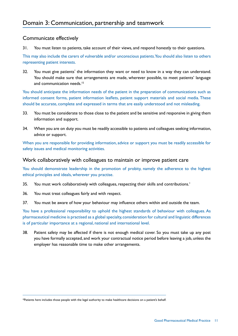#### Communicate effectively

31. You must listen to patients, take account of their views, and respond honestly to their questions.

This may also include the carers of vulnerable and/or unconscious patients. You should also listen to others representing patient interests.

32. You must give patients<sup>\*</sup> the information they want or need to know in a way they can understand. You should make sure that arrangements are made, wherever possible, to meet patients' language and communication needs.<sup>15</sup>

You should anticipate the information needs of the patient in the preparation of communications such as informed consent forms, patient information leaflets, patient support materials and social media. These should be accurate, complete and expressed in terms that are easily understood and not misleading.

- 33. You must be considerate to those close to the patient and be sensitive and responsive in giving them information and support.
- 34. When you are on duty you must be readily accessible to patients and colleagues seeking information, advice or support.

When you are responsible for providing information, advice or support you must be readily accessible for safety issues and medical monitoring activities.

#### Work collaboratively with colleagues to maintain or improve patient care

You should demonstrate leadership in the promotion of probity, namely the adherence to the highest ethical principles and ideals, wherever you practise.

- 35. You must work collaboratively with colleagues, respecting their skills and contributions.<sup>1</sup>
- 36. You must treat colleagues fairly and with respect.
- 37. You must be aware of how your behaviour may influence others within and outside the team.

You have a professional responsibility to uphold the highest standards of behaviour with colleagues. As pharmaceutical medicine is practised as a global specialty, consideration for cultural and linguistic differences is of particular importance at a regional, national and international level.

38. Patient safety may be affected if there is not enough medical cover. So you must take up any post you have formally accepted, and work your contractual notice period before leaving a job, unless the employer has reasonable time to make other arrangements.

<sup>\*</sup>Patients here includes those people with the legal authority to make healthcare decisions on a patient's behalf.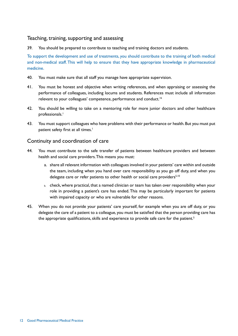#### Teaching, training, supporting and assessing

39. You should be prepared to contribute to teaching and training doctors and students.

To support the development and use of treatments, you should contribute to the training of both medical and non-medical staff. This will help to ensure that they have appropriate knowledge in pharmaceutical medicine.

- 40. You must make sure that all staff you manage have appropriate supervision.
- 41. You must be honest and objective when writing references, and when appraising or assessing the performance of colleagues, including locums and students. References must include all information relevant to your colleagues' competence, performance and conduct.<sup>16</sup>
- 42. You should be willing to take on a mentoring role for more junior doctors and other healthcare professionals.<sup>1</sup>
- 43. You must support colleagues who have problems with their performance or health. But you must put patient safety first at all times.<sup>1</sup>

#### Continuity and coordination of care

- 44. You must contribute to the safe transfer of patients between healthcare providers and between health and social care providers. This means you must:
	- a. share all relevant information with colleagues involved in your patients' care within and outside the team, including when you hand over care responsibility as you go off duty, and when you delegate care or refer patients to other health or social care providers<sup>5,10</sup>
	- b. check, where practical, that a named clinician or team has taken over responsibility when your role in providing a patient's care has ended. This may be particularly important for patients with impaired capacity or who are vulnerable for other reasons.
- 45. When you do not provide your patients' care yourself, for example when you are off duty, or you delegate the care of a patient to a colleague, you must be satisfied that the person providing care has the appropriate qualifications, skills and experience to provide safe care for the patient.<sup>5</sup>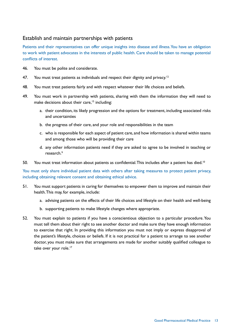# Establish and maintain partnerships with patients

Patients and their representatives can offer unique insights into disease and illness. You have an obligation to work with patient advocates in the interests of public health. Care should be taken to manage potential conflicts of interest.

- 46. You must be polite and considerate.
- 47. You must treat patients as individuals and respect their dignity and privacy.<sup>12</sup>
- 48. You must treat patients fairly and with respect whatever their life choices and beliefs.
- 49. You must work in partnership with patients, sharing with them the information they will need to make decisions about their care,<sup>15</sup> including:
	- a. their condition, its likely progression and the options for treatment, including associated risks and uncertainties
	- b. the progress of their care, and your role and responsibilities in the team
	- c. who is responsible for each aspect of patient care, and how information is shared within teams and among those who will be providing their care
	- d. any other information patients need if they are asked to agree to be involved in teaching or research.<sup>9</sup>
- 50. You must treat information about patients as confidential. This includes after a patient has died.<sup>10</sup>

You must only share individual patient data with others after taking measures to protect patient privacy, including obtaining relevant consent and obtaining ethical advice.

- 51. You must support patients in caring for themselves to empower them to improve and maintain their health. This may, for example, include:
	- a. advising patients on the effects of their life choices and lifestyle on their health and well-being
	- b. supporting patients to make lifestyle changes where appropriate.
- 52. You must explain to patients if you have a conscientious objection to a particular procedure. You must tell them about their right to see another doctor and make sure they have enough information to exercise that right. In providing this information you must not imply or express disapproval of the patient's lifestyle, choices or beliefs. If it is not practical for a patient to arrange to see another doctor, you must make sure that arrangements are made for another suitably qualified colleague to take over your role.<sup>17</sup>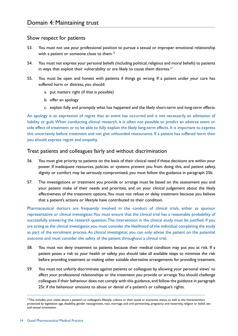#### Show respect for patients

- 53. You must not use your professional position to pursue a sexual or improper emotional relationship with a patient or someone close to them.<sup>12</sup>
- 54. You must not express your personal beliefs (including political, religious and moral beliefs) to patients in ways that exploit their vulnerability or are likely to cause them distress.<sup>17</sup>
- 55. You must be open and honest with patients if things go wrong. If a patient under your care has suffered harm or distress, you should:
	- a. put matters right (if that is possible)
	- b. offer an apology
	- c. explain fully and promptly what has happened and the likely short-term and long-term effects.

An apology is an expression of regret that an event has occurred and is not necessarily an admission of liability or guilt. When conducting clinical research, it is often not possible to predict an adverse event or side effect of treatment or to be able to fully explain the likely long-term effects. It is important to express this uncertainty before treatment and not give unfounded reassurance. If a patient has suffered harm then you should express regret and empathy.

#### Treat patients and colleagues fairly and without discrimination

- 56. You must give priority to patients on the basis of their clinical need if these decisions are within your power. If inadequate resources, policies or systems prevent you from doing this, and patient safety, dignity or comfort may be seriously compromised, you must follow the guidance in paragraph 25b.
- 57. The investigations or treatment you provide or arrange must be based on the assessment you and your patient make of their needs and priorities, and on your clinical judgement about the likely effectiveness of the treatment options. You must not refuse or delay treatment because you believe that a patient's actions or lifestyle have contributed to their condition.

Pharmaceutical doctors are frequently involved in the conduct of clinical trials, either as sponsor representative or clinical investigator. You must ensure that the clinical trial has a reasonable probability of successfully answering the research question. The intervention in the clinical study must be justified. If you are acting as the clinical investigator, you must consider the likelihood of the individual completing the study as part of the enrolment process. As clinical investigator, you can only advise the patient on the potential outcome and must consider the safety of the patient throughout a clinical trial.

- 58. You must not deny treatment to patients because their medical condition may put you at risk. If a patient poses a risk to your health or safety, you should take all available steps to minimise the risk before providing treatment or making other suitable alternative arrangements for providing treatment.
- 59. You must not unfairly discriminate against patients or colleagues by allowing your personal views<sup>\*</sup> to affect your professional relationships or the treatment you provide or arrange. You should challenge colleagues if their behaviour does not comply with this guidance, and follow the guidance in paragraph 25c if the behaviour amounts to abuse or denial of a patient's or colleague's rights.

<sup>\*</sup> This includes your views about a patient's or colleague's lifestyle, culture or their social or economic status, as well as the characteristics protected by legislation: age, disability, gender reassignment, race, marriage and civil partnership, pregnancy and maternity, religion or belief, sex and sexual orientation.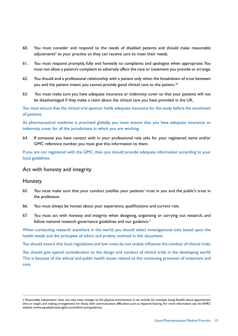- 60. You must consider and respond to the needs of disabled patients and should make reasonable adjustments† to your practice so they can receive care to meet their needs.
- 61. You must respond promptly, fully and honestly to complaints and apologise when appropriate. You must not allow a patient's complaint to adversely affect the care or treatment you provide or arrange.
- 62. You should end a professional relationship with a patient only when the breakdown of trust between you and the patient means you cannot provide good clinical care to the patient.<sup>18</sup>
- 63. You must make sure you have adequate insurance or indemnity cover so that your patients will not be disadvantaged if they make a claim about the clinical care you have provided in the UK.

You must ensure that the clinical trial sponsor holds adequate insurance for the study before the enrolment of patients.

As pharmaceutical medicine is practised globally, you must ensure that you have adequate insurance or indemnity cover for all the jurisdictions in which you are working.

64. If someone you have contact with in your professional role asks for your registered name and/or GMC reference number, you must give this information to them.

If you are not registered with the GMC, then you should provide adequate information according to your local guidelines.

#### Act with honesty and integrity

#### Honesty

- 65. You must make sure that your conduct justifies your patients' trust in you and the public's trust in the profession.
- 66. You must always be honest about your experience, qualifications and current role.
- 67. You must act with honesty and integrity when designing, organising or carrying out research, and follow national research governance guidelines and our guidance.<sup>2</sup>

When conducting research anywhere in the world, you should select investigational sites based upon the health needs and the principles of ethics and probity outlined in this document.

You should ensure that local regulations and low costs do not unduly influence the conduct of clinical trials.

You should give special consideration to the design and conduct of clinical trials in the developing world. This is because of the ethical and public health issues related to the continuing provision of treatment and care.

<sup>† &#</sup>x27;Reasonable adjustments' does not only mean changes to the physical environment. It can include, for example, being flexible about appointment time or length, and making arrangements for those with communication difficulties such as impaired hearing. For more information see the EHRC website (www.equalityhumanrights.com/advice-and-guidance).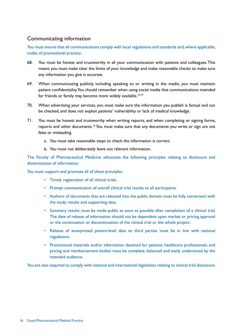# Communicating information

You must ensure that all communications comply with local regulations and standards and, where applicable, codes of promotional practice.

- 68. You must be honest and trustworthy in all your communication with patients and colleagues. This means you must make clear the limits of your knowledge and make reasonable checks to make sure any information you give is accurate.
- 69. When communicating publicly, including speaking to or writing in the media, you must maintain patient confidentiality. You should remember when using social media that communications intended for friends or family may become more widely available.<sup>10,19</sup>
- 70. When advertising your services, you must make sure the information you publish is factual and can be checked, and does not exploit patients' vulnerability or lack of medical knowledge.
- 71. You must be honest and trustworthy when writing reports, and when completing or signing forms, reports and other documents.<sup>16</sup> You must make sure that any documents you write or sign are not false or misleading.
	- a. You must take reasonable steps to check the information is correct.
	- b. You must not deliberately leave out relevant information.

The Faculty of Pharmaceutical Medicine advocates the following principles relating to disclosure and dissemination of information.

You must support and promote all of these principles.

- Timely registration of all clinical trials.
- Prompt communication of overall clinical trial results to all participants.
- Authors of documents that are released into the public domain must be fully conversant with the study results and supporting data.
- Summary results must be made public as soon as possible after completion of a clinical trial. The date of release of information should not be dependent upon market or pricing approval or the continuation or discontinuation of the clinical trial or the whole project.
- Release of anonymised patient-level data to third parties must be in line with national regulations.
- Promotional materials and/or information destined for patients, healthcare professionals, and pricing and reimbursement bodies must be complete, balanced and easily understood by the intended audience.

You are also required to comply with national and international legislation relating to clinical trial disclosure.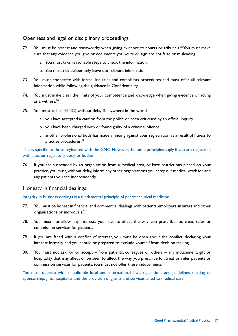## Openness and legal or disciplinary proceedings

- 72. You must be honest and trustworthy when giving evidence to courts or tribunals.<sup>20</sup> You must make sure that any evidence you give or documents you write or sign are not false or misleading.
	- a. You must take reasonable steps to check the information.
	- b. You must not deliberately leave out relevant information.
- 73. You must cooperate with formal inquiries and complaints procedures and must offer all relevant information while following the guidance in Confidentiality.
- 74. You must make clear the limits of your competence and knowledge when giving evidence or acting as a witness.<sup>20</sup>
- 75. You must tell us [GMC] without delay if, anywhere in the world:
	- a. you have accepted a caution from the police or been criticised by an official inquiry
	- b. you have been charged with or found guilty of a criminal offence
	- c. another professional body has made a finding against your registration as a result of fitness to practise procedures.<sup>21</sup>

This is specific to those registered with the GMC. However, the same principles apply if you are registered with another regulatory body or bodies.

76. If you are suspended by an organisation from a medical post, or have restrictions placed on your practice, you must, without delay, inform any other organisations you carry out medical work for and any patients you see independently.

#### Honesty in financial dealings

Integrity in business dealings is a fundamental principle of pharmaceutical medicine.

- 77. You must be honest in financial and commercial dealings with patients, employers, insurers and other organisations or individuals.<sup>22</sup>
- 78. You must not allow any interests you have to affect the way you prescribe for, treat, refer or commission services for patients.
- 79. If you are faced with a conflict of interest, you must be open about the conflict, declaring your interest formally, and you should be prepared to exclude yourself from decision making.
- 80. You must not ask for or accept from patients, colleagues or others any inducement, gift or hospitality that may affect or be seen to affect the way you prescribe for, treat or refer patients or commission services for patients. You must not offer these inducements.

You must operate within applicable local and international laws, regulations and guidelines relating to sponsorship, gifts, hospitality and the provision of grants and services allied to medical care.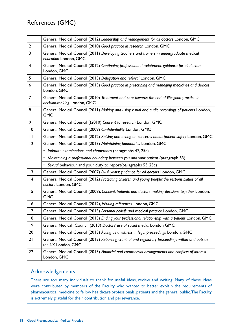| $\overline{\phantom{a}}$ | General Medical Council (2012) Leadership and management for all doctors London, GMC                                       |
|--------------------------|----------------------------------------------------------------------------------------------------------------------------|
| $\overline{2}$           | General Medical Council (2010) Good practice in research London, GMC                                                       |
| 3                        | General Medical Council (2011) Developing teachers and trainers in undergraduate medical<br>education London, GMC          |
| $\overline{\mathbf{4}}$  | General Medical Council (2012) Continuing professional development: guidance for all doctors<br>London, GMC                |
| 5                        | General Medical Council (2013) Delegation and referral London, GMC                                                         |
| 6                        | General Medical Council (2013) Good practice in prescribing and managing medicines and devices<br>London, GMC              |
| 7                        | General Medical Council (2010) Treatment and care towards the end of life: good practice in<br>decision-making London, GMC |
| 8                        | General Medical Council (2011) Making and using visual and audio recordings of patients London,<br><b>GMC</b>              |
| 9                        | General Medical Council ((2010) Consent to research London, GMC                                                            |
| 10                       | General Medical Council (2009) Confidentiality London, GMC                                                                 |
| $\mathbf{H}$             | General Medical Council (2012) Raising and acting on concerns about patient safety London, GMC                             |
| 12                       | General Medical Council (2013) Maintaining boundaries London, GMC                                                          |
|                          | • Intimate examinations and chaperones (paragraphs 47, 25c)                                                                |
|                          | • Maintaining a professional boundary between you and your patient (paragraph 53)                                          |
|                          | • Sexual behaviour and your duty to report(paragraphs 53, 25c)                                                             |
| 13                       | General Medical Council (2007) 0-18 years: guidance for all doctors London, GMC                                            |
| 4                        | General Medical Council (2012) Protecting children and young people: the responsibilities of all<br>doctors London, GMC    |
| 15                       | General Medical Council (2008), Consent: patients and doctors making decisions together London,<br><b>GMC</b>              |
| 16                       | General Medical Council (2012), Writing references London, GMC                                                             |
| 17                       | General Medical Council (2013) Personal beliefs and medical practice London, GMC                                           |
| 8                        | General Medical Council (2013) Ending your professional relationship with a patient London, GMC                            |
| 9                        | General Medical Council (2013) Doctors' use of social media, London GMC                                                    |
| 20                       | General Medical Council (2013) Acting as a witness in legal proceedings London, GMC                                        |
| 21                       | General Medical Council (2013) Reporting criminal and regulatory proceedings within and outside<br>the UK London, GMC      |
| 22                       | General Medical Council (2013) Financial and commercial arrangements and conflicts of interest<br>London, GMC              |

# Acknowledgements

There are too many individuals to thank for useful ideas, review and writing. Many of these ideas were contributed by members of the Faculty who wanted to better explain the requirements of pharmaceutical medicine to fellow healthcare professionals, patients and the general public. The Faculty is extremely grateful for their contribution and perseverance.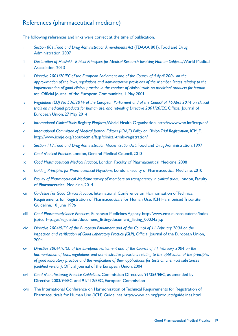The following references and links were correct at the time of publication.

- i *Section 801, Food and Drug Administration Amendments Act* (FDAAA 801), Food and Drug Administration, 2007
- ii *Declaration of Helsinki Ethical Principles for Medical Research Involving Human Subjects*, World Medical Association, 2013
- iii *Directive 2001/20/EC of the European Parliament and of the Council of 4 April 2001 on the approximation of the laws, regulations and administrative provisions of the Member States relating to the implementation of good clinical practice in the conduct of clinical trials on medicinal products for human use*, Official Journal of the European Communities, 1 May 2001
- iv *Regulation (EU) No 536/2014 of the European Parliament and of the Council of 16 April 2014 on clinical trials on medicinal products for human use, and repealing Directive 2001/20/EC*, Official Journal of European Union, 27 May 2014
- v *International Clinical Trials Registry Platform*, World Health Organisation. http://www.who.int/ictrp/en/
- vi *International Committee of Medical Journal Editors (ICMJE) Policy on Clinical Trial Registration*, ICMJE. http://www.icmje.org/about-icmje/faqs/clinical-trials-registration/
- vii *Section 113, Food and Drug Administration Modernization Act*, Food and Drug Administration, 1997
- viii *Good Medical Practice*, London, General Medical Council, 2013
- ix *Good Pharmaceutical Medical Practice*, London, Faculty of Pharmaceutical Medicine, 2008
- x *Guiding Principles for Pharmaceutical Physicians*, London, Faculty of Pharmaceutical Medicine, 2010
- xi *Faculty of Pharmaceutical Medicine survey of members on transparency in clinical trials*, London, Faculty of Pharmaceutical Medicine, 2014
- xii *Guideline For Good Clinical Practice*, International Conference on Harmonisation of Technical Requirements for Registration of Pharmaceuticals for Human Use. ICH Harmonised Tripartite Guideline. 10 June 1996
- xiii *Good Pharmacovigilance Practices*, European Medicines Agency. http://www.ema.europa.eu/ema/index. jsp?curl=pages/regulation/document\_listing/document\_listing\_000345.jsp
- xiv *Directive 2004/9/EC of the European Parliament and of the Council of 11 February 2004 on the inspection and verification of Good Laboratory Practice (GLP)*, Official Journal of the European Union, 2004
- xv *Directive 2004/10/EC of the European Parliament and of the Council of 11 February 2004 on the harmonisation of laws, regulations and administrative provisions relating to the application of the principles of good laboratory practice and the verification of their applications for tests on chemical substances (codified version)*, Official Journal of the European Union, 2004
- xvi *Good Manufacturing Practice Guidelines*. Commission Directives 91/356/EEC, as amended by Directive 2003/94/EC, and 91/412/EEC, European Commission
- xvii The International Conference on Harmonisation of Technical Requirements for Registration of Pharmaceuticals for Human Use (ICH) Guidelines http://www.ich.org/products/guidelines.html